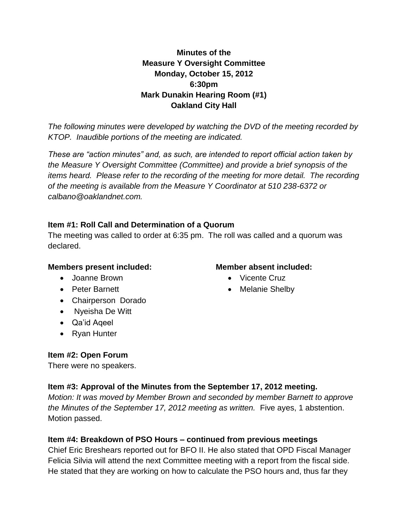## **Minutes of the Measure Y Oversight Committee Monday, October 15, 2012 6:30pm Mark Dunakin Hearing Room (#1) Oakland City Hall**

*The following minutes were developed by watching the DVD of the meeting recorded by KTOP. Inaudible portions of the meeting are indicated.* 

*These are "action minutes" and, as such, are intended to report official action taken by the Measure Y Oversight Committee (Committee) and provide a brief synopsis of the items heard. Please refer to the recording of the meeting for more detail. The recording of the meeting is available from the Measure Y Coordinator at 510 238-6372 or calbano@oaklandnet.com.*

### **Item #1: Roll Call and Determination of a Quorum**

The meeting was called to order at 6:35 pm. The roll was called and a quorum was declared.

#### **Members present included:**

- Joanne Brown
- Peter Barnett
- Chairperson Dorado
- Nyeisha De Witt
- Qa'id Aqeel
- Ryan Hunter

## **Item #2: Open Forum**

There were no speakers.

## **Item #3: Approval of the Minutes from the September 17, 2012 meeting.**

*Motion: It was moved by Member Brown and seconded by member Barnett to approve the Minutes of the September 17, 2012 meeting as written.* Five ayes, 1 abstention. Motion passed.

## **Item #4: Breakdown of PSO Hours – continued from previous meetings**

Chief Eric Breshears reported out for BFO II. He also stated that OPD Fiscal Manager Felicia Silvia will attend the next Committee meeting with a report from the fiscal side. He stated that they are working on how to calculate the PSO hours and, thus far they

### **Member absent included:**

- Vicente Cruz
- Melanie Shelby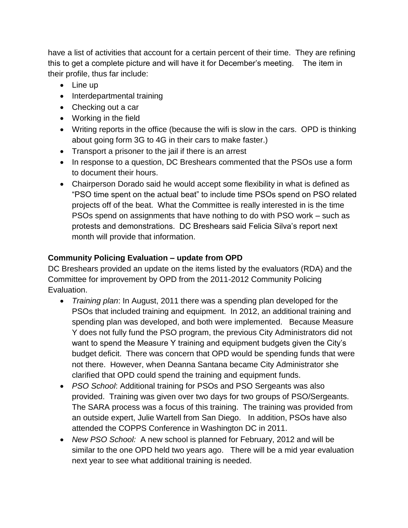have a list of activities that account for a certain percent of their time. They are refining this to get a complete picture and will have it for December's meeting. The item in their profile, thus far include:

- Line up
- Interdepartmental training
- Checking out a car
- Working in the field
- Writing reports in the office (because the wifi is slow in the cars. OPD is thinking about going form 3G to 4G in their cars to make faster.)
- Transport a prisoner to the jail if there is an arrest
- In response to a question, DC Breshears commented that the PSOs use a form to document their hours.
- Chairperson Dorado said he would accept some flexibility in what is defined as "PSO time spent on the actual beat" to include time PSOs spend on PSO related projects off of the beat. What the Committee is really interested in is the time PSOs spend on assignments that have nothing to do with PSO work – such as protests and demonstrations. DC Breshears said Felicia Silva's report next month will provide that information.

# **Community Policing Evaluation – update from OPD**

DC Breshears provided an update on the items listed by the evaluators (RDA) and the Committee for improvement by OPD from the 2011-2012 Community Policing Evaluation.

- *Training plan*: In August, 2011 there was a spending plan developed for the PSOs that included training and equipment. In 2012, an additional training and spending plan was developed, and both were implemented. Because Measure Y does not fully fund the PSO program, the previous City Administrators did not want to spend the Measure Y training and equipment budgets given the City's budget deficit. There was concern that OPD would be spending funds that were not there. However, when Deanna Santana became City Administrator she clarified that OPD could spend the training and equipment funds.
- *PSO School*: Additional training for PSOs and PSO Sergeants was also provided. Training was given over two days for two groups of PSO/Sergeants. The SARA process was a focus of this training. The training was provided from an outside expert, Julie Wartell from San Diego.In addition, PSOs have also attended the COPPS Conference in Washington DC in 2011.
- *New PSO School:* A new school is planned for February, 2012 and will be similar to the one OPD held two years ago. There will be a mid year evaluation next year to see what additional training is needed.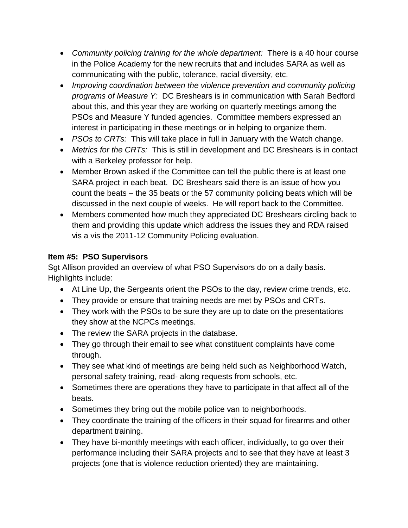- *Community policing training for the whole department:* There is a 40 hour course in the Police Academy for the new recruits that and includes SARA as well as communicating with the public, tolerance, racial diversity, etc.
- *Improving coordination between the violence prevention and community policing programs of Measure Y:* DC Breshears is in communication with Sarah Bedford about this, and this year they are working on quarterly meetings among the PSOs and Measure Y funded agencies. Committee members expressed an interest in participating in these meetings or in helping to organize them.
- *PSOs to CRTs:* This will take place in full in January with the Watch change.
- *Metrics for the CRTs:* This is still in development and DC Breshears is in contact with a Berkeley professor for help.
- Member Brown asked if the Committee can tell the public there is at least one SARA project in each beat. DC Breshears said there is an issue of how you count the beats – the 35 beats or the 57 community policing beats which will be discussed in the next couple of weeks. He will report back to the Committee.
- Members commented how much they appreciated DC Breshears circling back to them and providing this update which address the issues they and RDA raised vis a vis the 2011-12 Community Policing evaluation.

# **Item #5: PSO Supervisors**

Sgt Allison provided an overview of what PSO Supervisors do on a daily basis. Highlights include:

- At Line Up, the Sergeants orient the PSOs to the day, review crime trends, etc.
- They provide or ensure that training needs are met by PSOs and CRTs.
- They work with the PSOs to be sure they are up to date on the presentations they show at the NCPCs meetings.
- The review the SARA projects in the database.
- They go through their email to see what constituent complaints have come through.
- They see what kind of meetings are being held such as Neighborhood Watch, personal safety training, read- along requests from schools, etc.
- Sometimes there are operations they have to participate in that affect all of the beats.
- Sometimes they bring out the mobile police van to neighborhoods.
- They coordinate the training of the officers in their squad for firearms and other department training.
- They have bi-monthly meetings with each officer, individually, to go over their performance including their SARA projects and to see that they have at least 3 projects (one that is violence reduction oriented) they are maintaining.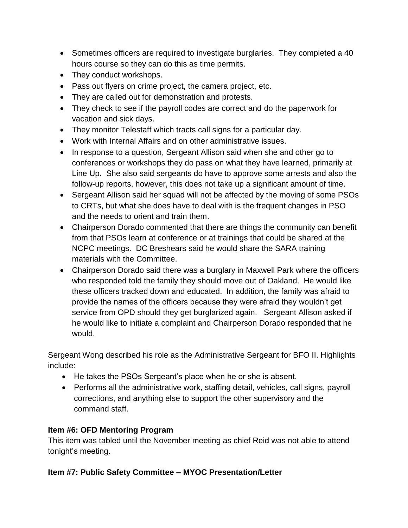- Sometimes officers are required to investigate burglaries. They completed a 40 hours course so they can do this as time permits.
- They conduct workshops.
- Pass out flyers on crime project, the camera project, etc.
- They are called out for demonstration and protests.
- They check to see if the payroll codes are correct and do the paperwork for vacation and sick days.
- They monitor Telestaff which tracts call signs for a particular day.
- Work with Internal Affairs and on other administrative issues.
- In response to a question, Sergeant Allison said when she and other go to conferences or workshops they do pass on what they have learned, primarily at Line Up**.** She also said sergeants do have to approve some arrests and also the follow-up reports, however, this does not take up a significant amount of time.
- Sergeant Allison said her squad will not be affected by the moving of some PSOs to CRTs, but what she does have to deal with is the frequent changes in PSO and the needs to orient and train them.
- Chairperson Dorado commented that there are things the community can benefit from that PSOs learn at conference or at trainings that could be shared at the NCPC meetings. DC Breshears said he would share the SARA training materials with the Committee.
- Chairperson Dorado said there was a burglary in Maxwell Park where the officers who responded told the family they should move out of Oakland. He would like these officers tracked down and educated. In addition, the family was afraid to provide the names of the officers because they were afraid they wouldn't get service from OPD should they get burglarized again. Sergeant Allison asked if he would like to initiate a complaint and Chairperson Dorado responded that he would.

Sergeant Wong described his role as the Administrative Sergeant for BFO II. Highlights include:

- He takes the PSOs Sergeant's place when he or she is absent.
- Performs all the administrative work, staffing detail, vehicles, call signs, payroll corrections, and anything else to support the other supervisory and the command staff.

## **Item #6: OFD Mentoring Program**

This item was tabled until the November meeting as chief Reid was not able to attend tonight's meeting.

## **Item #7: Public Safety Committee – MYOC Presentation/Letter**